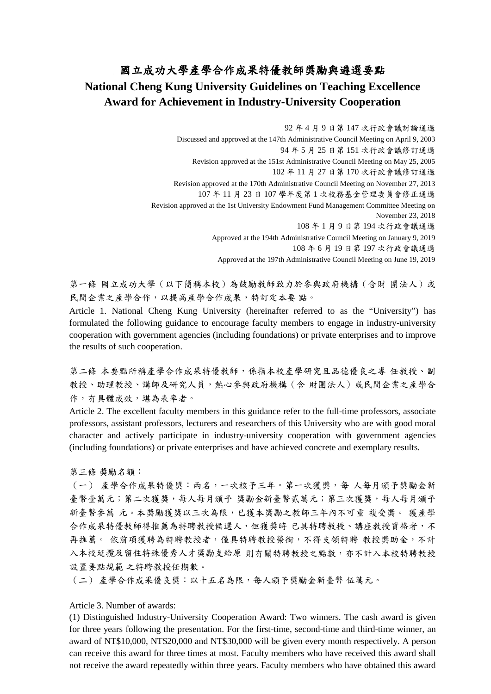## 國立成功大學產學合作成果特優教師獎勵與遴選要點 **National Cheng Kung University Guidelines on Teaching Excellence Award for Achievement in Industry-University Cooperation**

92 年 4 月 9 日第 147 次行政會議討論通過 Discussed and approved at the 147th Administrative Council Meeting on April 9, 2003 94 年 5 月 25 日第 151 次行政會議修訂通過 Revision approved at the 151st Administrative Council Meeting on May 25, 2005 102 年 11 月 27 日第 170 次行政會議修訂通過 Revision approved at the 170th Administrative Council Meeting on November 27, 2013 107 年 11 月 23 日 107 學年度第 1 次校務基金管理委員會修正通過 Revision approved at the 1st University Endowment Fund Management Committee Meeting on November 23, 2018 108 年 1 月 9 日第 194 次行政會議通過 Approved at the 194th Administrative Council Meeting on January 9, 2019 108 年 6 月 19 日第 197 次行政會議通過 Approved at the 197th Administrative Council Meeting on June 19, 2019

第一條 國立成功大學(以下簡稱本校)為鼓勵教師致力於參與政府機構(含財 團法人)或 民間企業之產學合作,以提高產學合作成果,特訂定本要 點。

Article 1. National Cheng Kung University (hereinafter referred to as the "University") has formulated the following guidance to encourage faculty members to engage in industry-university cooperation with government agencies (including foundations) or private enterprises and to improve the results of such cooperation.

第二條 本要點所稱產學合作成果特優教師,係指本校產學研究且品德優良之專 任教授、副 教授、助理教授、講師及研究人員,熱心參與政府機構(含財團法人)或民間企業之產學合 作,有具體成效,堪為表率者。

Article 2. The excellent faculty members in this guidance refer to the full-time professors, associate professors, assistant professors, lecturers and researchers of this University who are with good moral character and actively participate in industry-university cooperation with government agencies (including foundations) or private enterprises and have achieved concrete and exemplary results.

第三條 獎勵名額:

(一) 產學合作成果特優獎:兩名,一次核予三年。第一次獲獎,每 人每月頒予獎勵金新 臺幣壹萬元;第二次獲獎,每人每月頒予 獎勵金新臺幣貳萬元;第三次獲獎,每人每月頒予 新臺幣參萬 元。本獎勵獲獎以三次為限,已獲本獎勵之教師三年內不可重 複受獎。 獲產學 合作成果特優教師得推薦為特聘教授候選人,但獲獎時 已具特聘教授、講座教授資格者,不 再推薦。 依前項獲聘為特聘教授者,僅具特聘教授榮銜,不得支領特聘 教授獎助金,不計 入本校延攬及留住特殊優秀人才獎勵支給原 則有關特聘教授之點數,亦不計入本校特聘教授 設置要點規範 之特聘教授任期數。

(二) 產學合作成果優良獎:以十五名為限,每人頒予獎勵金新臺幣 伍萬元。

Article 3. Number of awards:

(1) Distinguished Industry-University Cooperation Award: Two winners. The cash award is given for three years following the presentation. For the first-time, second-time and third-time winner, an award of NT\$10,000, NT\$20,000 and NT\$30,000 will be given every month respectively. A person can receive this award for three times at most. Faculty members who have received this award shall not receive the award repeatedly within three years. Faculty members who have obtained this award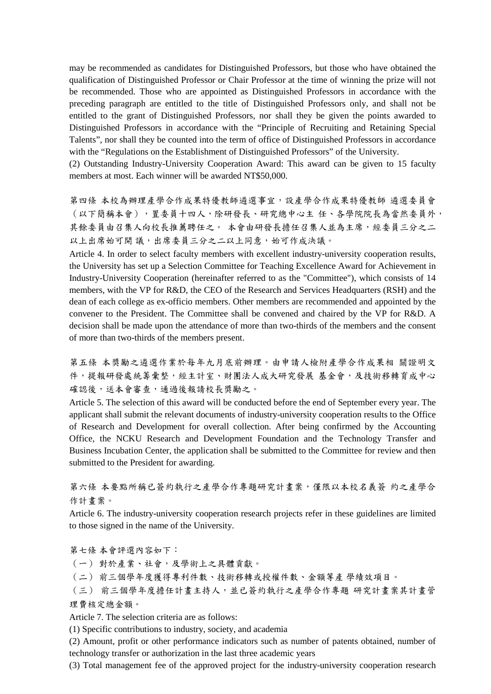may be recommended as candidates for Distinguished Professors, but those who have obtained the qualification of Distinguished Professor or Chair Professor at the time of winning the prize will not be recommended. Those who are appointed as Distinguished Professors in accordance with the preceding paragraph are entitled to the title of Distinguished Professors only, and shall not be entitled to the grant of Distinguished Professors, nor shall they be given the points awarded to Distinguished Professors in accordance with the "Principle of Recruiting and Retaining Special Talents", nor shall they be counted into the term of office of Distinguished Professors in accordance with the "Regulations on the Establishment of Distinguished Professors" of the University.

(2) Outstanding Industry-University Cooperation Award: This award can be given to 15 faculty members at most. Each winner will be awarded NT\$50,000.

第四條 本校為辦理產學合作成果特優教師遴選事宜,設產學合作成果特優教師 遴選委員會 (以下簡稱本會),置委員十四人,除研發長、研究總中心主 任、各學院院長為當然委員外, 其餘委員由召集人向校長推薦聘任之。 本會由研發長擔任召集人並為主席,經委員三分之二 以上出席始可開議,出席委員三分之二以上同意,始可作成決議。

Article 4. In order to select faculty members with excellent industry-university cooperation results, the University has set up a Selection Committee for Teaching Excellence Award for Achievement in Industry-University Cooperation (hereinafter referred to as the "Committee"), which consists of 14 members, with the VP for R&D, the CEO of the Research and Services Headquarters (RSH) and the dean of each college as ex-officio members. Other members are recommended and appointed by the convener to the President. The Committee shall be convened and chaired by the VP for R&D. A decision shall be made upon the attendance of more than two-thirds of the members and the consent of more than two-thirds of the members present.

第五條 本獎勵之遴選作業於每年九月底前辦理。由申請人檢附產學合作成果相 關證明文 件,提報研發處統籌彙整,經主計室、財團法人成大研究發展 基金會,及技術移轉育成中心 確認後,送本會審查,通過後報請校長獎勵之。

Article 5. The selection of this award will be conducted before the end of September every year. The applicant shall submit the relevant documents of industry-university cooperation results to the Office of Research and Development for overall collection. After being confirmed by the Accounting Office, the NCKU Research and Development Foundation and the Technology Transfer and Business Incubation Center, the application shall be submitted to the Committee for review and then submitted to the President for awarding.

第六條 本要點所稱已簽約執行之產學合作專題研究計畫案,僅限以本校名義簽 約之產學合 作計畫案。

Article 6. The industry-university cooperation research projects refer in these guidelines are limited to those signed in the name of the University.

第七條 本會評選內容如下:

(一) 對於產業、社會,及學術上之具體貢獻。

(二) 前三個學年度獲得專利件數、技術移轉或授權件數、金額等產 學績效項目。

(三) 前三個學年度擔任計畫主持人,並已簽約執行之產學合作專題 研究計畫案其計畫管 理費核定總金額。

Article 7. The selection criteria are as follows:

(1) Specific contributions to industry, society, and academia

(2) Amount, profit or other performance indicators such as number of patents obtained, number of technology transfer or authorization in the last three academic years

(3) Total management fee of the approved project for the industry-university cooperation research